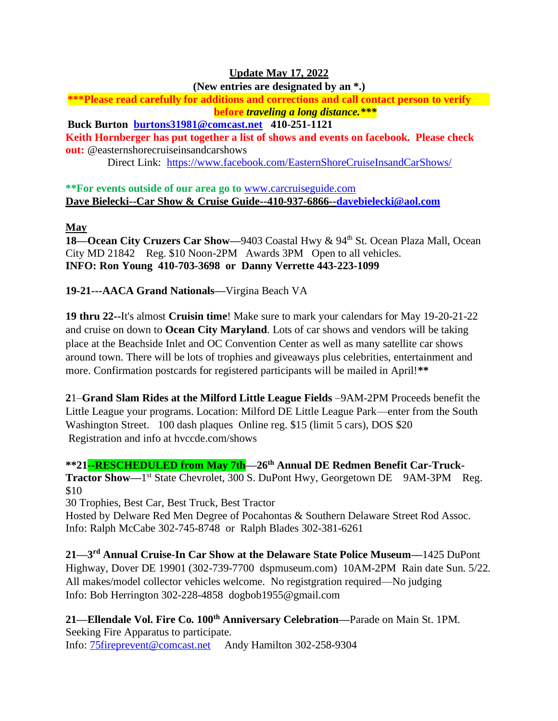# **Update May 17, 2022**

**(New entries are designated by an \*.)**

**\*\*\*Please read carefully for additions and corrections and call contact person to verify before** *traveling a long distance.\*\*\**

**Buck Burton [burtons31981@comcast.net](mailto:burtons31981@comcast.net) 410-251-1121 Keith Hornberger has put together a list of shows and events on facebook. Please check out:** @easternshorecruiseinsandcarshows Direct Link: <https://www.facebook.com/EasternShoreCruiseInsandCarShows/>

**\*\*For events outside of our area go to** [www.carcruiseguide.com](http://www.carcruiseguide.com/) **Dave Bielecki--Car Show & Cruise Guide--410-937-6866-[-davebielecki@aol.com](mailto:davebielecki@aol.com)**

# **May**

**18—Ocean City Cruzers Car Show—**9403 Coastal Hwy & 94<sup>th</sup> St. Ocean Plaza Mall, Ocean City MD 21842 Reg. \$10 Noon-2PM Awards 3PM Open to all vehicles. **INFO: Ron Young 410-703-3698 or Danny Verrette 443-223-1099**

**19-21---AACA Grand Nationals—**Virgina Beach VA

**19 thru 22--**It's almost **Cruisin time**! Make sure to mark your calendars for May 19-20-21-22 and cruise on down to **Ocean City Maryland**. Lots of car shows and vendors will be taking place at the Beachside Inlet and OC Convention Center as well as many satellite car shows around town. There will be lots of trophies and giveaways plus celebrities, entertainment and more. Confirmation postcards for registered participants will be mailed in April!**\*\***

**2**1–**Grand Slam Rides at the Milford Little League Fields** –9AM-2PM Proceeds benefit the Little League your programs. Location: Milford DE Little League Park—enter from the South Washington Street. 100 dash plaques Online reg. \$15 (limit 5 cars), DOS \$20 Registration and info at hvccde.com/shows

**\*\*21--RESCHEDULED from May 7th—26th Annual DE Redmen Benefit Car-Truck-Tractor Show—1**<sup>st</sup> State Chevrolet, 300 S. DuPont Hwy, Georgetown DE 9AM-3PM Reg. \$10

30 Trophies, Best Car, Best Truck, Best Tractor

Hosted by Delware Red Men Degree of Pocahontas & Southern Delaware Street Rod Assoc. Info: Ralph McCabe 302-745-8748 or Ralph Blades 302-381-6261

**21—3 rd Annual Cruise-In Car Show at the Delaware State Police Museum—**1425 DuPont Highway, Dover DE 19901 (302-739-7700 dspmuseum.com) 10AM-2PM Rain date Sun. 5/22. All makes/model collector vehicles welcome. No registgration required—No judging Info: Bob Herrington 302-228-4858 dogbob1955@gmail.com

**21—Ellendale Vol. Fire Co. 100th Anniversary Celebration—**Parade on Main St. 1PM. Seeking Fire Apparatus to participate. Info: [75fireprevent@comcast.net](mailto:75fireprevent@comcast.net) Andy Hamilton 302-258-9304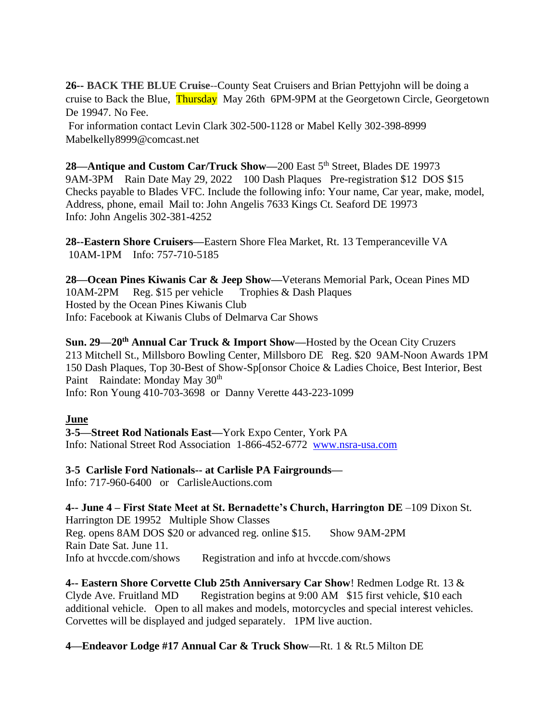**26-- BACK THE BLUE Cruise**--County Seat Cruisers and Brian Pettyjohn will be doing a cruise to Back the Blue, Thursday May 26th 6PM-9PM at the Georgetown Circle, Georgetown De 19947. No Fee.

For information contact Levin Clark 302-500-1128 or Mabel Kelly 302-398-8999 Mabelkelly8999@comcast.net

**28—Antique and Custom Car/Truck Show—200 East 5<sup>th</sup> Street, Blades DE 19973** 9AM-3PM Rain Date May 29, 2022 100 Dash Plaques Pre-registration \$12 DOS \$15 Checks payable to Blades VFC. Include the following info: Your name, Car year, make, model, Address, phone, email Mail to: John Angelis 7633 Kings Ct. Seaford DE 19973 Info: John Angelis 302-381-4252

**28--Eastern Shore Cruisers—**Eastern Shore Flea Market, Rt. 13 Temperanceville VA 10AM-1PM Info: 757-710-5185

**28—Ocean Pines Kiwanis Car & Jeep Show—**Veterans Memorial Park, Ocean Pines MD 10AM-2PM Reg. \$15 per vehicle Trophies & Dash Plaques Hosted by the Ocean Pines Kiwanis Club Info: Facebook at Kiwanis Clubs of Delmarva Car Shows

**Sun. 29—20th Annual Car Truck & Import Show—**Hosted by the Ocean City Cruzers 213 Mitchell St., Millsboro Bowling Center, Millsboro DE Reg. \$20 9AM-Noon Awards 1PM 150 Dash Plaques, Top 30-Best of Show-Sp[onsor Choice & Ladies Choice, Best Interior, Best Paint Raindate: Monday May 30<sup>th</sup> Info: Ron Young 410-703-3698 or Danny Verette 443-223-1099

# **June**

**3-5—Street Rod Nationals East—**York Expo Center, York PA Info: National Street Rod Association 1-866-452-6772 [www.nsra-usa.com](http://www.nsra-usa.com/)

**3-5 Carlisle Ford Nationals-- at Carlisle PA Fairgrounds—**

Info: 717-960-6400 or CarlisleAuctions.com

**4-- June 4 – First State Meet at St. Bernadette's Church, Harrington DE** –109 Dixon St. Harrington DE 19952 Multiple Show Classes Reg. opens 8AM DOS \$20 or advanced reg. online \$15. Show 9AM-2PM Rain Date Sat. June 11. Info at hvccde.com/shows Registration and info at hvccde.com/shows

**4-- Eastern Shore Corvette Club 25th Anniversary Car Show**! Redmen Lodge Rt. 13 & Clyde Ave. Fruitland MD Registration begins at 9:00 AM \$15 first vehicle, \$10 each additional vehicle. Open to all makes and models, motorcycles and special interest vehicles. Corvettes will be displayed and judged separately. 1PM live auction.

**4—Endeavor Lodge #17 Annual Car & Truck Show—**Rt. 1 & Rt.5 Milton DE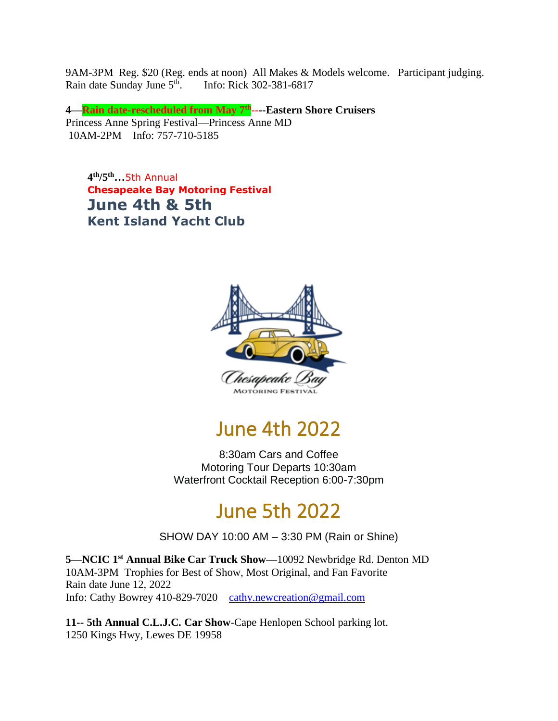9AM-3PM Reg. \$20 (Reg. ends at noon) All Makes & Models welcome. Participant judging. Rain date Sunday June 5<sup>th</sup>. Info: Rick 302-381-6817

**4—Rain date-rescheduled from May 7th ----Eastern Shore Cruisers** Princess Anne Spring Festival—Princess Anne MD 10AM-2PM Info: 757-710-5185

**4 th/5th…**5th Annual **Chesapeake Bay Motoring Festival June 4th & 5th Kent Island Yacht Club**



# June 4th 2022

8:30am Cars and Coffee Motoring Tour Departs 10:30am Waterfront Cocktail Reception 6:00-7:30pm

# June 5th 2022

SHOW DAY 10:00 AM – 3:30 PM (Rain or Shine)

**5—NCIC 1st Annual Bike Car Truck Show—**10092 Newbridge Rd. Denton MD 10AM-3PM Trophies for Best of Show, Most Original, and Fan Favorite Rain date June 12, 2022 Info: Cathy Bowrey 410-829-7020 [cathy.newcreation@gmail.com](mailto:cathy.newcreation@gmail.com)

**11-- 5th Annual C.L.J.C. Car Show**-Cape Henlopen School parking lot. 1250 Kings Hwy, Lewes DE 19958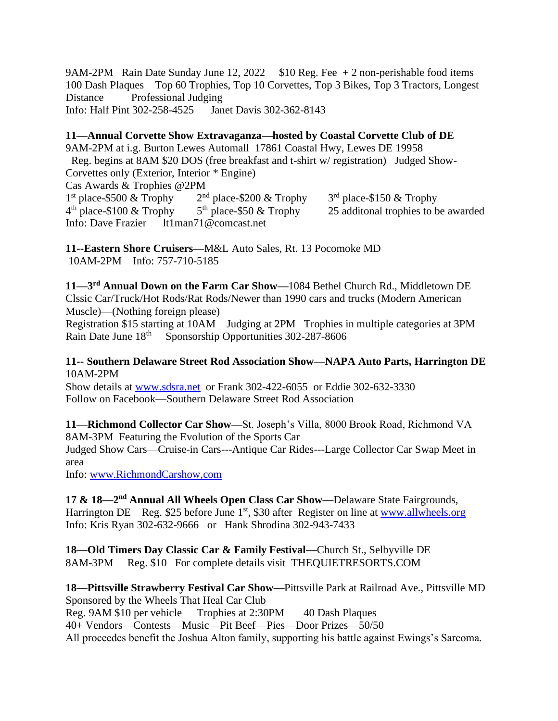9AM-2PM Rain Date Sunday June 12, 2022  $$10$  Reg. Fee  $+2$  non-perishable food items 100 Dash Plaques Top 60 Trophies, Top 10 Corvettes, Top 3 Bikes, Top 3 Tractors, Longest Distance Professional Judging Info: Half Pint 302-258-4525 Janet Davis 302-362-8143

**11—Annual Corvette Show Extravaganza—hosted by Coastal Corvette Club of DE** 9AM-2PM at i.g. Burton Lewes Automall 17861 Coastal Hwy, Lewes DE 19958 Reg. begins at 8AM \$20 DOS (free breakfast and t-shirt w/ registration) Judged Show-Corvettes only (Exterior, Interior \* Engine) Cas Awards & Trophies @2PM 1<sup>st</sup> place-\$500 & Trophy 2  $2<sup>nd</sup>$  place-\$200 & Trophy  $3<sup>rd</sup>$  place-\$150 & Trophy  $4<sup>th</sup>$  place-\$100 & Trophy 5  $5<sup>th</sup>$  place-\$50 & Trophy 25 additional trophies to be awarded Info: Dave Frazier lt1man71@comcast.net

**11--Eastern Shore Cruisers—**M&L Auto Sales, Rt. 13 Pocomoke MD 10AM-2PM Info: 757-710-5185

**11—3 rd Annual Down on the Farm Car Show—**1084 Bethel Church Rd., Middletown DE Clssic Car/Truck/Hot Rods/Rat Rods/Newer than 1990 cars and trucks (Modern American Muscle)—(Nothing foreign please)

Registration \$15 starting at 10AM Judging at 2PM Trophies in multiple categories at 3PM Rain Date June 18<sup>th</sup> Sponsorship Opportunities 302-287-8606

### **11-- Southern Delaware Street Rod Association Show—NAPA Auto Parts, Harrington DE**  10AM-2PM

Show details at [www.sdsra.net](http://www.sdsra.net/) or Frank 302-422-6055 or Eddie 302-632-3330 Follow on Facebook—Southern Delaware Street Rod Association

**11—Richmond Collector Car Show—**St. Joseph's Villa, 8000 Brook Road, Richmond VA 8AM-3PM Featuring the Evolution of the Sports Car Judged Show Cars—Cruise-in Cars---Antique Car Rides---Large Collector Car Swap Meet in area

Info: [www.RichmondCarshow,com](http://www.richmondcarshow,com/)

17 & 18<sup>-2nd</sup> Annual All Wheels Open Class Car Show-Delaware State Fairgrounds, Harrington DE Reg. \$25 before June  $1<sup>st</sup>$ , \$30 after Register on line at [www.allwheels.org](http://www.allwheels.org/) Info: Kris Ryan 302-632-9666 or Hank Shrodina 302-943-7433

**18—Old Timers Day Classic Car & Family Festival—**Church St., Selbyville DE 8AM-3PM Reg. \$10 For complete details visit THEQUIETRESORTS.COM

**18—Pittsville Strawberry Festival Car Show—**Pittsville Park at Railroad Ave., Pittsville MD Sponsored by the Wheels That Heal Car Club Reg. 9AM \$10 per vehicle Trophies at 2:30PM 40 Dash Plaques 40+ Vendors—Contests—Music—Pit Beef—Pies—Door Prizes—50/50 All proceedcs benefit the Joshua Alton family, supporting his battle against Ewings's Sarcoma.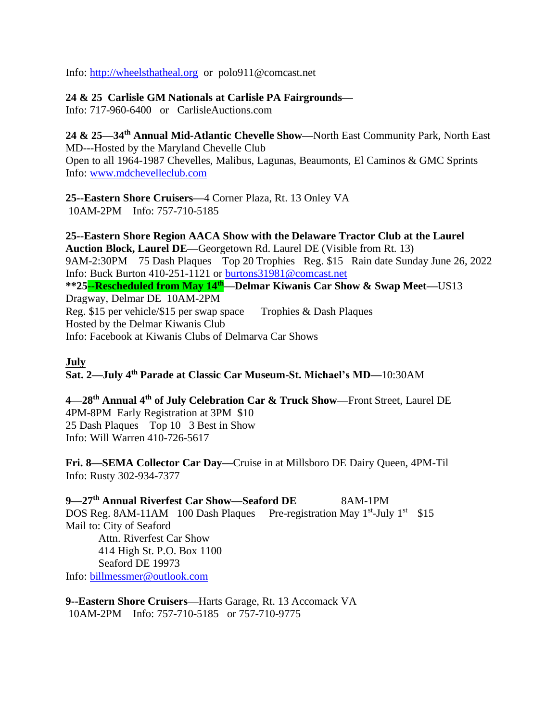Info: [http://wheelsthatheal.org](http://wheelsthatheal.org/) or polo911@comcast.net

# **24 & 25 Carlisle GM Nationals at Carlisle PA Fairgrounds—**

Info: 717-960-6400 or CarlisleAuctions.com

**24 & 25—34th Annual Mid-Atlantic Chevelle Show—**North East Community Park, North East MD---Hosted by the Maryland Chevelle Club Open to all 1964-1987 Chevelles, Malibus, Lagunas, Beaumonts, El Caminos & GMC Sprints Info: [www.mdchevelleclub.com](http://www.mdchevelleclub.com/) 

**25--Eastern Shore Cruisers—**4 Corner Plaza, Rt. 13 Onley VA 10AM-2PM Info: 757-710-5185

**25--Eastern Shore Region AACA Show with the Delaware Tractor Club at the Laurel Auction Block, Laurel DE—**Georgetown Rd. Laurel DE (Visible from Rt. 13) 9AM-2:30PM 75 Dash Plaques Top 20 Trophies Reg. \$15 Rain date Sunday June 26, 2022 Info: Buck Burton 410-251-1121 or [burtons31981@comcast.net](mailto:burtons31981@comcast.net) **\*\*25--Rescheduled from May 14th—Delmar Kiwanis Car Show & Swap Meet—**US13 Dragway, Delmar DE 10AM-2PM Reg. \$15 per vehicle/\$15 per swap space Trophies & Dash Plaques Hosted by the Delmar Kiwanis Club Info: Facebook at Kiwanis Clubs of Delmarva Car Shows

# **July**

**Sat. 2—July 4th Parade at Classic Car Museum-St. Michael's MD—**10:30AM

**4—28th Annual 4th of July Celebration Car & Truck Show—**Front Street, Laurel DE 4PM-8PM Early Registration at 3PM \$10 25 Dash Plaques Top 10 3 Best in Show Info: Will Warren 410-726-5617

**Fri. 8—SEMA Collector Car Day—**Cruise in at Millsboro DE Dairy Queen, 4PM-Til Info: Rusty 302-934-7377

**9—27th Annual Riverfest Car Show—Seaford DE** 8AM-1PM DOS Reg. 8AM-11AM 100 Dash Plaques Pre-registration May 1<sup>st</sup>-July 1<sup>st</sup> \$15 Mail to: City of Seaford Attn. Riverfest Car Show 414 High St. P.O. Box 1100 Seaford DE 19973 Info: [billmessmer@outlook.com](mailto:billmessmer@outlook.com)

**9--Eastern Shore Cruisers—**Harts Garage, Rt. 13 Accomack VA 10AM-2PM Info: 757-710-5185 or 757-710-9775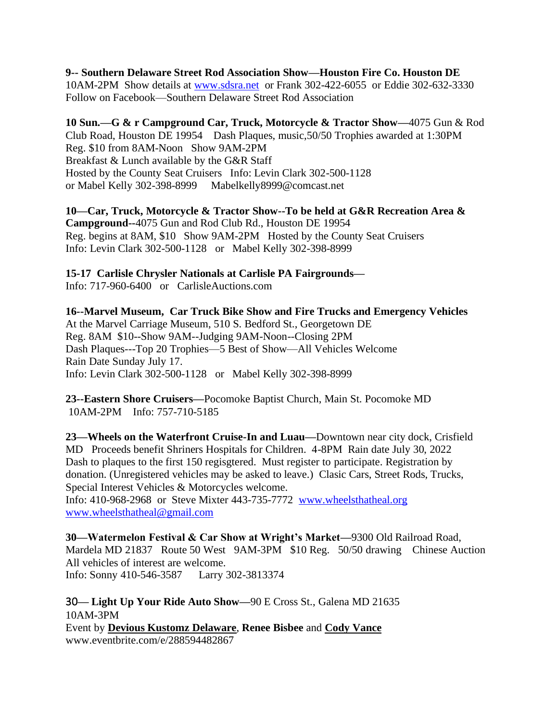**9-- Southern Delaware Street Rod Association Show—Houston Fire Co. Houston DE**  10AM-2PM Show details at [www.sdsra.net](http://www.sdsra.net/) or Frank 302-422-6055 or Eddie 302-632-3330 Follow on Facebook—Southern Delaware Street Rod Association

**10 Sun.—G & r Campground Car, Truck, Motorcycle & Tractor Show—**4075 Gun & Rod Club Road, Houston DE 19954 Dash Plaques, music,50/50 Trophies awarded at 1:30PM Reg. \$10 from 8AM-Noon Show 9AM-2PM Breakfast & Lunch available by the G&R Staff Hosted by the County Seat Cruisers Info: Levin Clark 302-500-1128 or Mabel Kelly 302-398-8999 Mabelkelly8999@comcast.net

**10—Car, Truck, Motorcycle & Tractor Show--To be held at G&R Recreation Area & Campground--**4075 Gun and Rod Club Rd., Houston DE 19954 Reg. begins at 8AM, \$10 Show 9AM-2PM Hosted by the County Seat Cruisers Info: Levin Clark 302-500-1128 or Mabel Kelly 302-398-8999

**15-17 Carlisle Chrysler Nationals at Carlisle PA Fairgrounds—**

Info: 717-960-6400 or CarlisleAuctions.com

**16--Marvel Museum, Car Truck Bike Show and Fire Trucks and Emergency Vehicles** At the Marvel Carriage Museum, 510 S. Bedford St., Georgetown DE Reg. 8AM \$10--Show 9AM--Judging 9AM-Noon--Closing 2PM Dash Plaques---Top 20 Trophies—5 Best of Show—All Vehicles Welcome Rain Date Sunday July 17. Info: Levin Clark 302-500-1128 or Mabel Kelly 302-398-8999

**23--Eastern Shore Cruisers—**Pocomoke Baptist Church, Main St. Pocomoke MD 10AM-2PM Info: 757-710-5185

**23—Wheels on the Waterfront Cruise-In and Luau—**Downtown near city dock, Crisfield MD Proceeds benefit Shriners Hospitals for Children. 4-8PM Rain date July 30, 2022 Dash to plaques to the first 150 regisgtered. Must register to participate. Registration by donation. (Unregistered vehicles may be asked to leave.) Clasic Cars, Street Rods, Trucks, Special Interest Vehicles & Motorcycles welcome.

Info: 410-968-2968 or Steve Mixter 443-735-7772 [www.wheelsthatheal.org](http://www.wheelsthatheal.org/)  [www.wheelsthatheal@gmail.com](http://www.wheelsthatheal@gmail.com)

**30—Watermelon Festival & Car Show at Wright's Market—**9300 Old Railroad Road, Mardela MD 21837 Route 50 West 9AM-3PM \$10 Reg. 50/50 drawing Chinese Auction All vehicles of interest are welcome. Info: Sonny 410-546-3587 Larry 302-3813374

30**— Light Up Your Ride Auto Show—**90 E Cross St., Galena MD 21635 10AM**-**3PM Event by **Devious Kustomz [Delaware](https://www.facebook.com/delawaredeviouskustomz/)**, **Renee Bisbee** and **Cody [Vance](https://www.facebook.com/vance.cody.52)** www.eventbrite.com/e/288594482867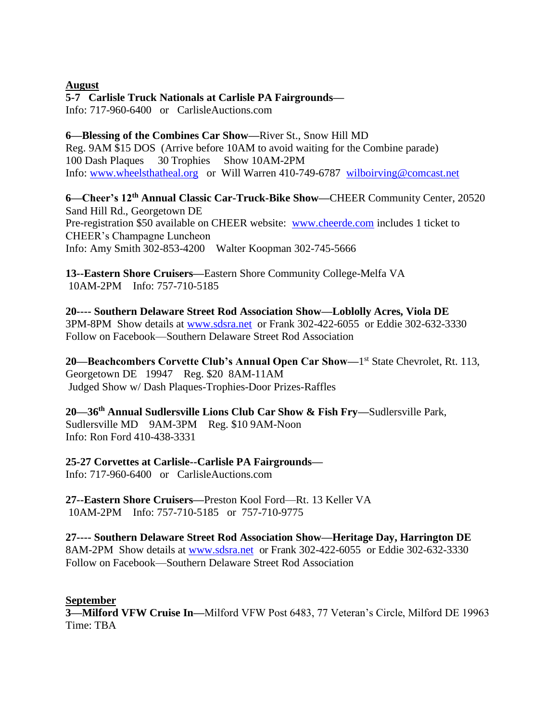### **August**

# **5-7 Carlisle Truck Nationals at Carlisle PA Fairgrounds—**

Info: 717-960-6400 or CarlisleAuctions.com

# **6—Blessing of the Combines Car Show—**River St., Snow Hill MD Reg. 9AM \$15 DOS (Arrive before 10AM to avoid waiting for the Combine parade) 100 Dash Plaques 30 Trophies Show 10AM-2PM Info: [www.wheelsthatheal.org](http://www.wheelsthatheal.org/) or Will Warren 410-749-6787 [wilboirving@comcast.net](mailto:wilboirving@comcast.net)

**6—Cheer's 12th Annual Classic Car-Truck-Bike Show—**CHEER Community Center, 20520 Sand Hill Rd., Georgetown DE Pre-registration \$50 available on CHEER website: [www.cheerde.com](http://www.cheerde.com/) includes 1 ticket to CHEER's Champagne Luncheon Info: Amy Smith 302-853-4200 Walter Koopman 302-745-5666

**13--Eastern Shore Cruisers—**Eastern Shore Community College-Melfa VA 10AM-2PM Info: 757-710-5185

**20---- Southern Delaware Street Rod Association Show—Loblolly Acres, Viola DE** 3PM-8PM Show details at [www.sdsra.net](http://www.sdsra.net/) or Frank 302-422-6055 or Eddie 302-632-3330 Follow on Facebook—Southern Delaware Street Rod Association

20—Beachcombers Corvette Club's Annual Open Car Show—1<sup>st</sup> State Chevrolet, Rt. 113, Georgetown DE 19947 Reg. \$20 8AM-11AM Judged Show w/ Dash Plaques-Trophies-Door Prizes-Raffles

**20—36th Annual Sudlersville Lions Club Car Show & Fish Fry—**Sudlersville Park, Sudlersville MD 9AM-3PM Reg. \$10 9AM-Noon Info: Ron Ford 410-438-3331

**25-27 Corvettes at Carlisle--Carlisle PA Fairgrounds—**

Info: 717-960-6400 or CarlisleAuctions.com

**27--Eastern Shore Cruisers—**Preston Kool Ford—Rt. 13 Keller VA 10AM-2PM Info: 757-710-5185 or 757-710-9775

**27---- Southern Delaware Street Rod Association Show—Heritage Day, Harrington DE**  8AM-2PM Show details at [www.sdsra.net](http://www.sdsra.net/) or Frank 302-422-6055 or Eddie 302-632-3330 Follow on Facebook—Southern Delaware Street Rod Association

# **September**

**3—Milford VFW Cruise In—**Milford VFW Post 6483, 77 Veteran's Circle, Milford DE 19963 Time: TBA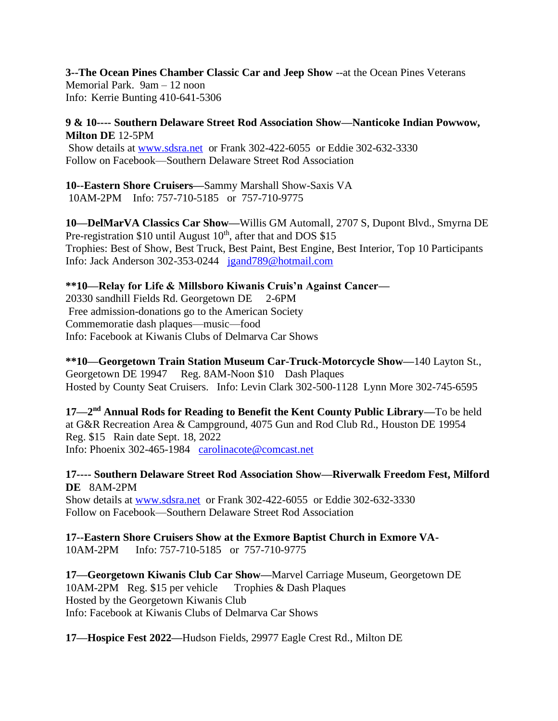**3--The Ocean Pines Chamber Classic Car and Jeep Show** --at the Ocean Pines Veterans Memorial Park. 9am – 12 noon Info: Kerrie Bunting 410-641-5306

### **9 & 10---- Southern Delaware Street Rod Association Show—Nanticoke Indian Powwow, Milton DE** 12-5PM

Show details at [www.sdsra.net](http://www.sdsra.net/) or Frank 302-422-6055 or Eddie 302-632-3330 Follow on Facebook—Southern Delaware Street Rod Association

**10--Eastern Shore Cruisers—**Sammy Marshall Show-Saxis VA 10AM-2PM Info: 757-710-5185 or 757-710-9775

**10—DelMarVA Classics Car Show—**Willis GM Automall, 2707 S, Dupont Blvd., Smyrna DE Pre-registration  $$10$  until August  $10<sup>th</sup>$ , after that and DOS  $$15$ Trophies: Best of Show, Best Truck, Best Paint, Best Engine, Best Interior, Top 10 Participants Info: Jack Anderson 302-353-0244 [jgand789@hotmail.com](mailto:jgand789@hotmail.com)

### **\*\*10—Relay for Life & Millsboro Kiwanis Cruis'n Against Cancer—**

20330 sandhill Fields Rd. Georgetown DE 2-6PM Free admission-donations go to the American Society Commemoratie dash plaques—music—food Info: Facebook at Kiwanis Clubs of Delmarva Car Shows

**\*\*10—Georgetown Train Station Museum Car-Truck-Motorcycle Show—**140 Layton St., Georgetown DE 19947 Reg. 8AM-Noon \$10 Dash Plaques Hosted by County Seat Cruisers. Info: Levin Clark 302-500-1128 Lynn More 302-745-6595

**17—2 nd Annual Rods for Reading to Benefit the Kent County Public Library—**To be held at G&R Recreation Area & Campground, 4075 Gun and Rod Club Rd., Houston DE 19954 Reg. \$15 Rain date Sept. 18, 2022 Info: Phoenix 302-465-1984 [carolinacote@comcast.net](mailto:carolinacote@comcast.net)

**17---- Southern Delaware Street Rod Association Show—Riverwalk Freedom Fest, Milford DE** 8AM-2PM

Show details at [www.sdsra.net](http://www.sdsra.net/) or Frank 302-422-6055 or Eddie 302-632-3330 Follow on Facebook—Southern Delaware Street Rod Association

**17--Eastern Shore Cruisers Show at the Exmore Baptist Church in Exmore VA-**10AM-2PM Info: 757-710-5185 or 757-710-9775

**17—Georgetown Kiwanis Club Car Show—**Marvel Carriage Museum, Georgetown DE 10AM-2PM Reg. \$15 per vehicle Trophies & Dash Plaques Hosted by the Georgetown Kiwanis Club Info: Facebook at Kiwanis Clubs of Delmarva Car Shows

**17—Hospice Fest 2022—**Hudson Fields, 29977 Eagle Crest Rd., Milton DE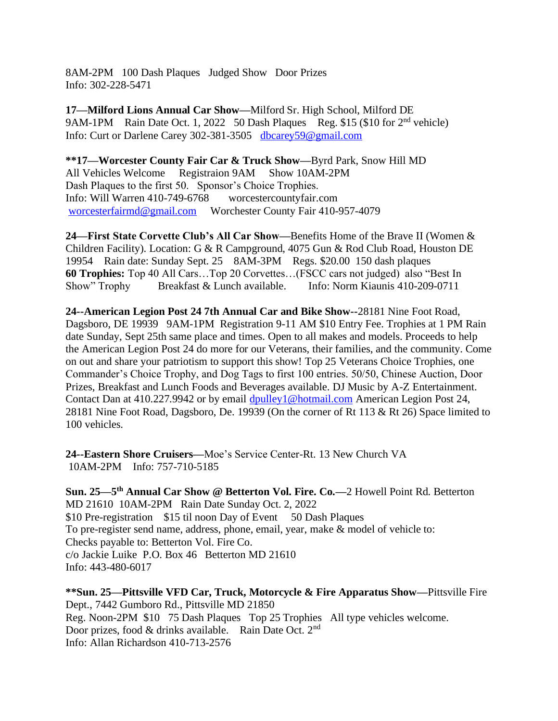8AM-2PM 100 Dash Plaques Judged Show Door Prizes Info: 302-228-5471

**17—Milford Lions Annual Car Show—**Milford Sr. High School, Milford DE 9AM-1PM Rain Date Oct. 1, 2022 50 Dash Plaques Reg. \$15 (\$10 for 2<sup>nd</sup> vehicle) Info: Curt or Darlene Carey 302-381-3505 [dbcarey59@gmail.com](mailto:dbcarey59@gmail.com)

**\*\*17—Worcester County Fair Car & Truck Show—**Byrd Park, Snow Hill MD All Vehicles Welcome Registraion 9AM Show 10AM-2PM Dash Plaques to the first 50. Sponsor's Choice Trophies. Info: Will Warren 410-749-6768 worcestercountyfair.com [worcesterfairmd@gmail.com](mailto:worcesterfairmd@gmail.com) Worchester County Fair 410-957-4079

**24—First State Corvette Club's All Car Show—**Benefits Home of the Brave II (Women & Children Facility). Location: G & R Campground, 4075 Gun & Rod Club Road, Houston DE 19954 Rain date: Sunday Sept. 25 8AM-3PM Regs. \$20.00 150 dash plaques **60 Trophies:** Top 40 All Cars...Top 20 Corvettes...(FSCC cars not judged) also "Best In Show" Trophy Breakfast & Lunch available. Info: Norm Kiaunis 410-209-0711 Show" Trophy Breakfast & Lunch available. Info: Norm Kiaunis 410-209-0711

**24--American Legion Post 24 7th Annual Car and Bike Show--**28181 Nine Foot Road, Dagsboro, DE 19939 9AM-1PM Registration 9-11 AM \$10 Entry Fee. Trophies at 1 PM Rain date Sunday, Sept 25th same place and times. Open to all makes and models. Proceeds to help the American Legion Post 24 do more for our Veterans, their families, and the community. Come on out and share your patriotism to support this show! Top 25 Veterans Choice Trophies, one Commander's Choice Trophy, and Dog Tags to first 100 entries. 50/50, Chinese Auction, Door Prizes, Breakfast and Lunch Foods and Beverages available. DJ Music by A-Z Entertainment. Contact Dan at 410.227.9942 or by email [dpulley1@hotmail.com](mailto:dpulley1@hotmail.com) American Legion Post 24, 28181 Nine Foot Road, Dagsboro, De. 19939 (On the corner of Rt 113 & Rt 26) Space limited to 100 vehicles.

**24--Eastern Shore Cruisers—**Moe's Service Center-Rt. 13 New Church VA 10AM-2PM Info: 757-710-5185

**Sun. 25—5 th Annual Car Show @ Betterton Vol. Fire. Co.—**2 Howell Point Rd. Betterton MD 21610 10AM-2PM Rain Date Sunday Oct. 2, 2022 \$10 Pre-registration \$15 til noon Day of Event 50 Dash Plaques To pre-register send name, address, phone, email, year, make & model of vehicle to: Checks payable to: Betterton Vol. Fire Co. c/o Jackie Luike P.O. Box 46 Betterton MD 21610 Info: 443-480-6017

**\*\*Sun. 25—Pittsville VFD Car, Truck, Motorcycle & Fire Apparatus Show—**Pittsville Fire Dept., 7442 Gumboro Rd., Pittsville MD 21850 Reg. Noon-2PM \$10 75 Dash Plaques Top 25 Trophies All type vehicles welcome. Door prizes, food & drinks available. Rain Date Oct. 2<sup>nd</sup> Info: Allan Richardson 410-713-2576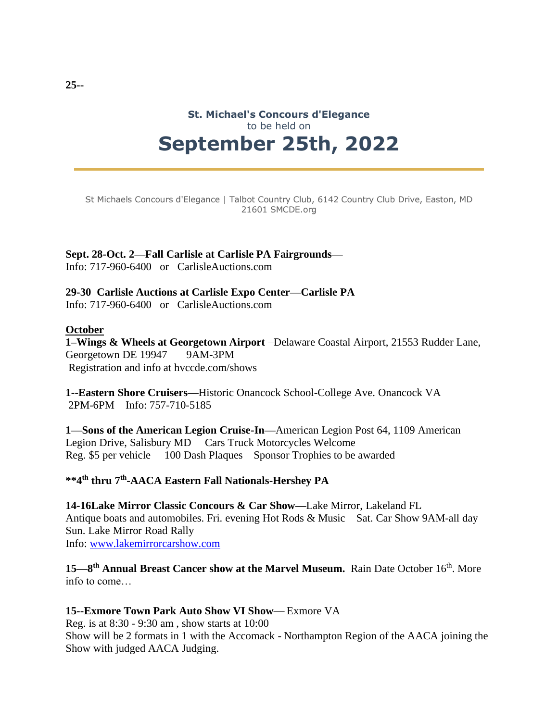# **St. Michael's Concours d'Elegance** to be held on **September 25th, 2022**

St Michaels Concours d'Elegance | Talbot Country Club, 6142 Country Club Drive, Easton, MD 21601 SMCDE.org

# **Sept. 28-Oct. 2—Fall Carlisle at Carlisle PA Fairgrounds—**

Info: 717-960-6400 or CarlisleAuctions.com

### **29-30 Carlisle Auctions at Carlisle Expo Center—Carlisle PA**

Info: 717-960-6400 or CarlisleAuctions.com

#### **October**

**1–Wings & Wheels at Georgetown Airport** –Delaware Coastal Airport, 21553 Rudder Lane, Georgetown DE 19947 9AM-3PM Registration and info at hvccde.com/shows

**1--Eastern Shore Cruisers—**Historic Onancock School-College Ave. Onancock VA 2PM-6PM Info: 757-710-5185

**1—Sons of the American Legion Cruise-In—**American Legion Post 64, 1109 American Legion Drive, Salisbury MD Cars Truck Motorcycles Welcome Reg. \$5 per vehicle 100 Dash Plaques Sponsor Trophies to be awarded

# **\*\*4th thru 7th -AACA Eastern Fall Nationals-Hershey PA**

**14-16Lake Mirror Classic Concours & Car Show—**Lake Mirror, Lakeland FL Antique boats and automobiles. Fri. evening Hot Rods & Music Sat. Car Show 9AM-all day Sun. Lake Mirror Road Rally Info: [www.lakemirrorcarshow.com](http://www.lakemirrorcarshow.com/)

15—8<sup>th</sup> Annual Breast Cancer show at the Marvel Museum. Rain Date October 16<sup>th</sup>. More info to come…

### **15--Exmore Town Park Auto Show VI Show**— Exmore VA

Reg. is at 8:30 - 9:30 am , show starts at 10:00 Show will be 2 formats in 1 with the Accomack - Northampton Region of the AACA joining the Show with judged AACA Judging.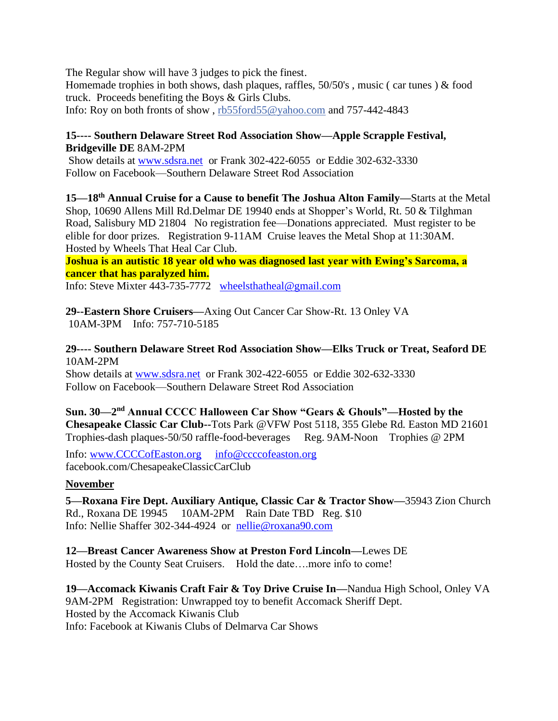The Regular show will have 3 judges to pick the finest. Homemade trophies in both shows, dash plaques, raffles, 50/50's , music ( car tunes ) & food truck. Proceeds benefiting the Boys & Girls Clubs. Info: Roy on both fronts of show , [rb55ford55@yahoo.com](mailto:rb55ford55@yahoo.com) and 757-442-4843

# **15---- Southern Delaware Street Rod Association Show—Apple Scrapple Festival, Bridgeville DE** 8AM-2PM

Show details at [www.sdsra.net](http://www.sdsra.net/) or Frank 302-422-6055 or Eddie 302-632-3330 Follow on Facebook—Southern Delaware Street Rod Association

**15—18th Annual Cruise for a Cause to benefit The Joshua Alton Family—**Starts at the Metal Shop, 10690 Allens Mill Rd.Delmar DE 19940 ends at Shopper's World, Rt. 50 & Tilghman Road, Salisbury MD 21804 No registration fee—Donations appreciated. Must register to be elible for door prizes. Registration 9-11AM Cruise leaves the Metal Shop at 11:30AM. Hosted by Wheels That Heal Car Club.

**Joshua is an autistic 18 year old who was diagnosed last year with Ewing's Sarcoma, a cancer that has paralyzed him.**

Info: Steve Mixter 443-735-7772 [wheelsthatheal@gmail.com](mailto:wheelsthatheal@gmail.com)

**29--Eastern Shore Cruisers—**Axing Out Cancer Car Show-Rt. 13 Onley VA 10AM-3PM Info: 757-710-5185

**29---- Southern Delaware Street Rod Association Show—Elks Truck or Treat, Seaford DE**  10AM-2PM

Show details at [www.sdsra.net](http://www.sdsra.net/) or Frank 302-422-6055 or Eddie 302-632-3330 Follow on Facebook—Southern Delaware Street Rod Association

**Sun. 30—2 nd Annual CCCC Halloween Car Show "Gears & Ghouls"—Hosted by the Chesapeake Classic Car Club--**Tots Park @VFW Post 5118, 355 Glebe Rd. Easton MD 21601 Trophies-dash plaques-50/50 raffle-food-beverages Reg. 9AM-Noon Trophies @ 2PM

Info: [www.CCCCofEaston.org](http://www.ccccofeaston.org/) [info@ccccofeaston.org](mailto:info@ccccofeaston.org)  facebook.com/ChesapeakeClassicCarClub

# **November**

**5—Roxana Fire Dept. Auxiliary Antique, Classic Car & Tractor Show—**35943 Zion Church Rd., Roxana DE 19945 10AM-2PM Rain Date TBD Reg. \$10 Info: Nellie Shaffer 302-344-4924 or [nellie@roxana90.com](mailto:nellie@roxana90.com)

**12—Breast Cancer Awareness Show at Preston Ford Lincoln—**Lewes DE Hosted by the County Seat Cruisers. Hold the date….more info to come!

**19—Accomack Kiwanis Craft Fair & Toy Drive Cruise In—**Nandua High School, Onley VA 9AM-2PM Registration: Unwrapped toy to benefit Accomack Sheriff Dept. Hosted by the Accomack Kiwanis Club Info: Facebook at Kiwanis Clubs of Delmarva Car Shows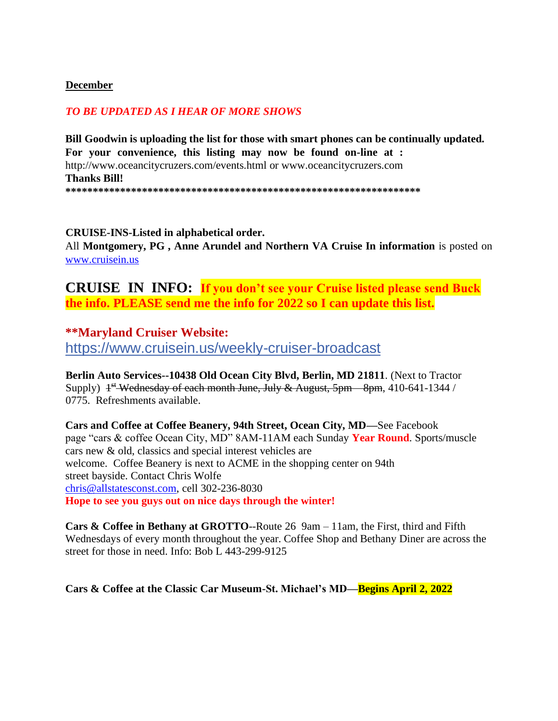## **December**

# *TO BE UPDATED AS I HEAR OF MORE SHOWS*

**Bill Goodwin is uploading the list for those with smart phones can be continually updated. For your convenience, this listing may now be found on-line at :**  http://www.oceancitycruzers.com/events.html or www.oceancitycruzers.com **Thanks Bill! \*\*\*\*\*\*\*\*\*\*\*\*\*\*\*\*\*\*\*\*\*\*\*\*\*\*\*\*\*\*\*\*\*\*\*\*\*\*\*\*\*\*\*\*\*\*\*\*\*\*\*\*\*\*\*\*\*\*\*\*\*\*\*\*\*** 

**CRUISE-INS-Listed in alphabetical order.**  All **Montgomery, PG , Anne Arundel and Northern VA Cruise In information** is posted on [www.cruisein.us](http://www.cruisein.us/)

**CRUISE IN INFO: If you don't see your Cruise listed please send Buck the info. PLEASE send me the info for 2022 so I can update this list.**

# **\*\*Maryland Cruiser Website:**

https://www.cruisein.us/weekly-cruiser-broadcast

**Berlin Auto Services--10438 Old Ocean City Blvd, Berlin, MD 21811**. (Next to Tractor Supply)  $1^{st}$  Wednesday of each month June, July & August, 5pm – 8pm, 410-641-1344 / 0775. Refreshments available.

**Cars and Coffee at Coffee Beanery, 94th Street, Ocean City, MD—**See Facebook page "cars & coffee Ocean City, MD" 8AM-11AM each Sunday **Year Round**. Sports/muscle cars new & old, classics and special interest vehicles are welcome. Coffee Beanery is next to ACME in the shopping center on 94th street bayside. Contact Chris Wolfe [chris@allstatesconst.com,](mailto:chris@allstatesconst.com) cell 302-236-8030 **Hope to see you guys out on nice days through the winter!**

**Cars & Coffee in Bethany at GROTTO**--Route 26 9am – 11am, the First, third and Fifth Wednesdays of every month throughout the year. Coffee Shop and Bethany Diner are across the street for those in need. Info: Bob L 443-299-9125

**Cars & Coffee at the Classic Car Museum-St. Michael's MD—Begins April 2, 2022**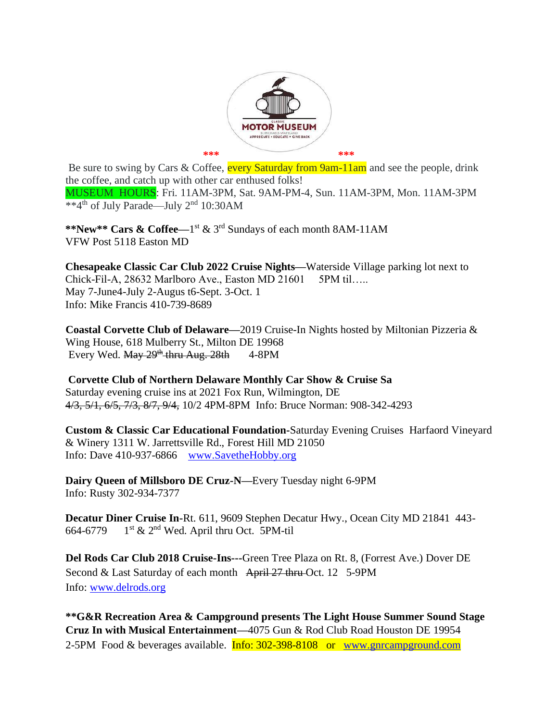

Be sure to swing by Cars & Coffee, every Saturday from 9am-11am and see the people, drink the coffee, and catch up with other car enthused folks! MUSEUM HOURS: Fri. 11AM-3PM, Sat. 9AM-PM-4, Sun. 11AM-3PM, Mon. 11AM-3PM \*\*4th of July Parade—July 2nd 10:30AM

**\*\*New\*\* Cars & Coffee—**1 st & 3rd Sundays of each month 8AM-11AM VFW Post 5118 Easton MD

**Chesapeake Classic Car Club 2022 Cruise Nights—**Waterside Village parking lot next to Chick-Fil-A, 28632 Marlboro Ave., Easton MD 21601 5PM til….. May 7-June4-July 2-Augus t6-Sept. 3-Oct. 1 Info: Mike Francis 410-739-8689

**Coastal Corvette Club of Delaware—**2019 Cruise-In Nights hosted by Miltonian Pizzeria & Wing House, 618 Mulberry St., Milton DE 19968 Every Wed.  $\frac{\text{May } 29^{\text{th}}}{}$  thru Aug. 28th 4-8PM

**Corvette Club of Northern Delaware Monthly Car Show & Cruise Sa** Saturday evening cruise ins at 2021 Fox Run, Wilmington, DE 4/3, 5/1, 6/5, 7/3, 8/7, 9/4, 10/2 4PM-8PM Info: Bruce Norman: 908-342-4293

**Custom & Classic Car Educational Foundation-**Saturday Evening Cruises Harfaord Vineyard & Winery 1311 W. Jarrettsville Rd., Forest Hill MD 21050 Info: Dave 410-937-6866 [www.SavetheHobby.org](http://www.savethehobby.org/)

**Dairy Queen of Millsboro DE Cruz-N—**Every Tuesday night 6-9PM Info: Rusty 302-934-7377

**Decatur Diner Cruise In-**Rt. 611, 9609 Stephen Decatur Hwy., Ocean City MD 21841 443- 664-6779 1<sup>st</sup> & 2<sup>nd</sup> Wed. April thru Oct. 5PM-til

**Del Rods Car Club 2018 Cruise-Ins---**Green Tree Plaza on Rt. 8, (Forrest Ave.) Dover DE Second & Last Saturday of each month April 27 thru Oct. 12 5-9PM Info: [www.delrods.org](http://www.delrods.org/)

**\*\*G&R Recreation Area & Campground presents The Light House Summer Sound Stage Cruz In with Musical Entertainment—**4075 Gun & Rod Club Road Houston DE 19954 2-5PM Food & beverages available. Info: 302-398-8108 or [www.gnrcampground.com](http://www.gnrcampground.com/)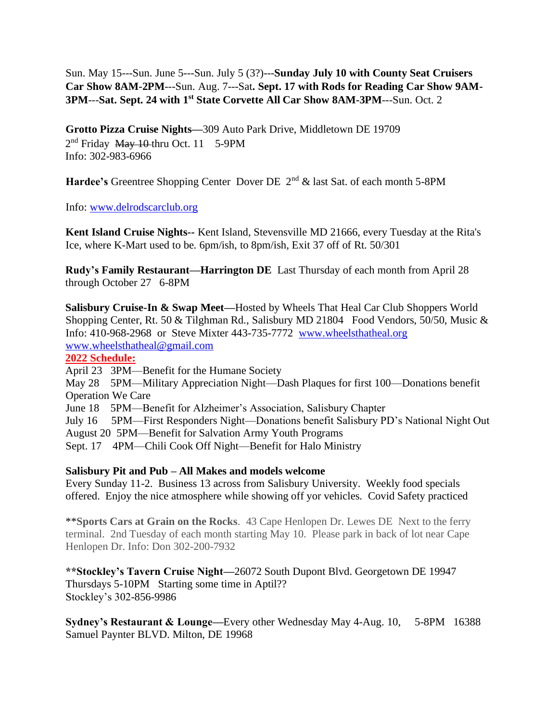Sun. May 15---Sun. June 5---Sun. July 5 (3?)---**Sunday July 10 with County Seat Cruisers Car Show 8AM-2PM**---Sun. Aug. 7---Sat**. Sept. 17 with Rods for Reading Car Show 9AM-3PM**---**Sat. Sept. 24 with 1st State Corvette All Car Show 8AM-3PM**---Sun. Oct. 2

**Grotto Pizza Cruise Nights—**309 Auto Park Drive, Middletown DE 19709 2<sup>nd</sup> Friday May 10-thru Oct. 11 5-9PM Info: 302-983-6966

**Hardee's** Greentree Shopping Center Dover DE 2<sup>nd</sup> & last Sat. of each month 5-8PM

Info: [www.delrodscarclub.org](http://www.delrodscarclub.org/)

**Kent Island Cruise Nights--** Kent Island, Stevensville MD 21666, every Tuesday at the Rita's Ice, where K-Mart used to be. 6pm/ish, to 8pm/ish, Exit 37 off of Rt. 50/301

**Rudy's Family Restaurant—Harrington DE** Last Thursday of each month from April 28 through October 27 6-8PM

**Salisbury Cruise-In & Swap Meet—**Hosted by Wheels That Heal Car Club Shoppers World Shopping Center, Rt. 50 & Tilghman Rd., Salisbury MD 21804 Food Vendors, 50/50, Music & Info: 410-968-2968 or Steve Mixter 443-735-7772 [www.wheelsthatheal.org](http://www.wheelsthatheal.org/)  [www.wheelsthatheal@gmail.com](http://www.wheelsthatheal@gmail.com)

**2022 Schedule:**

April 23 3PM—Benefit for the Humane Society

May 28 5PM—Military Appreciation Night—Dash Plaques for first 100—Donations benefit Operation We Care

June 18 5PM—Benefit for Alzheimer's Association, Salisbury Chapter

July 16 5PM—First Responders Night—Donations benefit Salisbury PD's National Night Out August 20 5PM—Benefit for Salvation Army Youth Programs

Sept. 17 4PM—Chili Cook Off Night—Benefit for Halo Ministry

# **Salisbury Pit and Pub – All Makes and models welcome**

Every Sunday 11-2. Business 13 across from Salisbury University. Weekly food specials offered. Enjoy the nice atmosphere while showing off yor vehicles. Covid Safety practiced

\*\***Sports Cars at Grain on the Rocks**. 43 Cape Henlopen Dr. Lewes DE Next to the ferry terminal. 2nd Tuesday of each month starting May 10. Please park in back of lot near Cape Henlopen Dr. Info: Don 302-200-7932

**\*\*Stockley's Tavern Cruise Night—**26072 South Dupont Blvd. Georgetown DE 19947 Thursdays 5-10PM Starting some time in Aptil?? Stockley's 302-856-9986

**Sydney's Restaurant & Lounge—**Every other Wednesday May 4-Aug. 10, 5-8PM 16388 Samuel Paynter BLVD. Milton, DE 19968